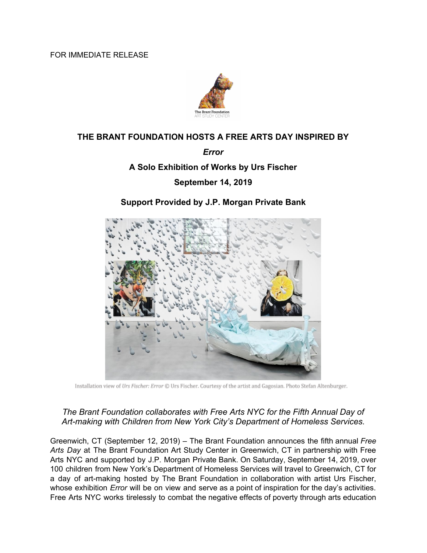FOR IMMEDIATE RELEASE



# **THE BRANT FOUNDATION HOSTS A FREE ARTS DAY INSPIRED BY**

#### *Error*

## **A Solo Exhibition of Works by Urs Fischer**

## **September 14, 2019**

## **Support Provided by J.P. Morgan Private Bank**



Installation view of Urs Fischer: Error @ Urs Fischer. Courtesy of the artist and Gagosian. Photo Stefan Altenburger.

## *The Brant Foundation collaborates with Free Arts NYC for the Fifth Annual Day of Art-making with Children from New York City's Department of Homeless Services.*

Greenwich, CT (September 12, 2019) – The Brant Foundation announces the fifth annual *Free Arts Day* at The Brant Foundation Art Study Center in Greenwich, CT in partnership with Free Arts NYC and supported by J.P. Morgan Private Bank. On Saturday, September 14, 2019, over 100 children from New York's Department of Homeless Services will travel to Greenwich, CT for a day of art-making hosted by The Brant Foundation in collaboration with artist Urs Fischer, whose exhibition *Error* will be on view and serve as a point of inspiration for the day's activities. Free Arts NYC works tirelessly to combat the negative effects of poverty through arts education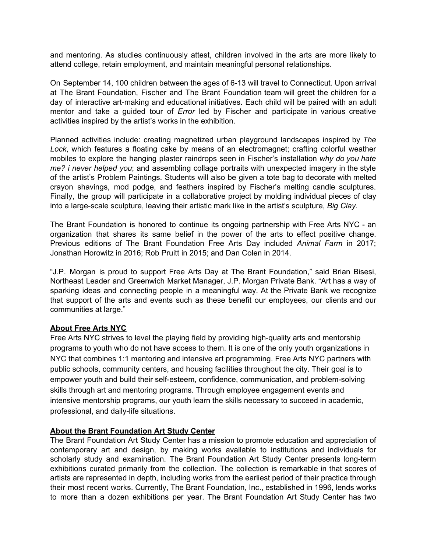and mentoring. As studies continuously attest, children involved in the arts are more likely to attend college, retain employment, and maintain meaningful personal relationships.

On September 14, 100 children between the ages of 6-13 will travel to Connecticut. Upon arrival at The Brant Foundation, Fischer and The Brant Foundation team will greet the children for a day of interactive art-making and educational initiatives. Each child will be paired with an adult mentor and take a guided tour of *Error* led by Fischer and participate in various creative activities inspired by the artist's works in the exhibition.

Planned activities include: creating magnetized urban playground landscapes inspired by *The Lock*, which features a floating cake by means of an electromagnet; crafting colorful weather mobiles to explore the hanging plaster raindrops seen in Fischer's installation *why do you hate me? i never helped you*; and assembling collage portraits with unexpected imagery in the style of the artist's Problem Paintings. Students will also be given a tote bag to decorate with melted crayon shavings, mod podge, and feathers inspired by Fischer's melting candle sculptures. Finally, the group will participate in a collaborative project by molding individual pieces of clay into a large-scale sculpture, leaving their artistic mark like in the artist's sculpture, *Big Clay*.

The Brant Foundation is honored to continue its ongoing partnership with Free Arts NYC - an organization that shares its same belief in the power of the arts to effect positive change. Previous editions of The Brant Foundation Free Arts Day included *Animal Farm* in 2017; Jonathan Horowitz in 2016; Rob Pruitt in 2015; and Dan Colen in 2014.

"J.P. Morgan is proud to support Free Arts Day at The Brant Foundation," said Brian Bisesi, Northeast Leader and Greenwich Market Manager, J.P. Morgan Private Bank. "Art has a way of sparking ideas and connecting people in a meaningful way. At the Private Bank we recognize that support of the arts and events such as these benefit our employees, our clients and our communities at large."

#### **About Free Arts NYC**

Free Arts NYC strives to level the playing field by providing high-quality arts and mentorship programs to youth who do not have access to them. It is one of the only youth organizations in NYC that combines 1:1 mentoring and intensive art programming. Free Arts NYC partners with public schools, community centers, and housing facilities throughout the city. Their goal is to empower youth and build their self-esteem, confidence, communication, and problem-solving skills through art and mentoring programs. Through employee engagement events and intensive mentorship programs, our youth learn the skills necessary to succeed in academic, professional, and daily-life situations.

#### **About the Brant Foundation Art Study Center**

The Brant Foundation Art Study Center has a mission to promote education and appreciation of contemporary art and design, by making works available to institutions and individuals for scholarly study and examination. The Brant Foundation Art Study Center presents long-term exhibitions curated primarily from the collection. The collection is remarkable in that scores of artists are represented in depth, including works from the earliest period of their practice through their most recent works. Currently, The Brant Foundation, Inc., established in 1996, lends works to more than a dozen exhibitions per year. The Brant Foundation Art Study Center has two